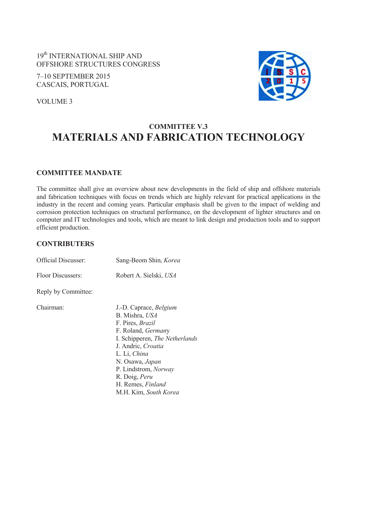19<sup>th</sup> INTERNATIONAL SHIP AND OFFSHORE STRUCTURES CONGRESS

7–10 SEPTEMBER 2015 CASCAIS, PORTUGAL



VOLUME 3

# **COMMITTEE V.3 MATERIALS AND FABRICATION TECHNOLOGY**

### **COMMITTEE MANDATE**

The committee shall give an overview about new developments in the field of ship and offshore materials and fabrication techniques with focus on trends which are highly relevant for practical applications in the industry in the recent and coming years. Particular emphasis shall be given to the impact of welding and corrosion protection techniques on structural performance, on the development of lighter structures and on computer and IT technologies and tools, which are meant to link design and production tools and to support efficient production.

### **CONTRIBUTERS**

| <b>Official Discusser:</b> | Sang-Beom Shin, Korea                                                                                                                                                                                                                                                              |  |
|----------------------------|------------------------------------------------------------------------------------------------------------------------------------------------------------------------------------------------------------------------------------------------------------------------------------|--|
| Floor Discussers:          | Robert A. Sielski, USA                                                                                                                                                                                                                                                             |  |
| Reply by Committee:        |                                                                                                                                                                                                                                                                                    |  |
| Chairman:                  | J.-D. Caprace, Belgium<br>B. Mishra, USA<br>F. Pires, Brazil<br>F. Roland, Germany<br>I. Schipperen, <i>The Netherlands</i><br>J. Andric, Croatia<br>L. Li, China<br>N. Osawa, Japan<br>P. Lindstrom, <i>Norway</i><br>R. Doig, Peru<br>H. Remes, Finland<br>M.H. Kim, South Korea |  |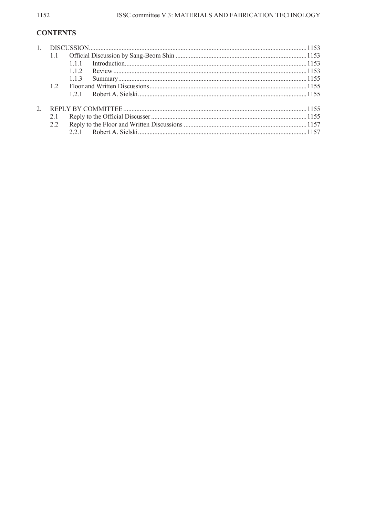## **CONTENTS**

|     | 111 |  |
|-----|-----|--|
|     | 112 |  |
|     | 113 |  |
| 12  |     |  |
|     | 121 |  |
|     |     |  |
| 2.1 |     |  |
| 2.2 |     |  |
|     |     |  |
|     |     |  |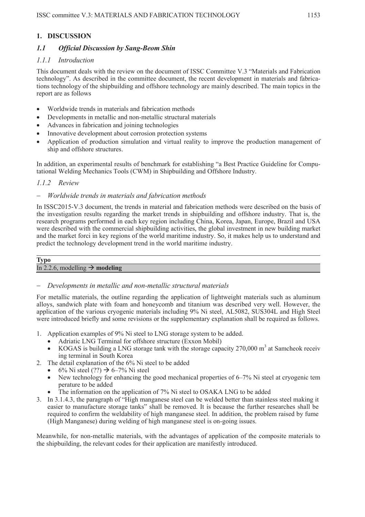### **1. DISCUSSION**

### *1.1 Official Discussion by Sang-Beom Shin*

### *1.1.1 Introduction*

This document deals with the review on the document of ISSC Committee V.3 "Materials and Fabrication technology". As described in the committee document, the recent development in materials and fabrications technology of the shipbuilding and offshore technology are mainly described. The main topics in the report are as follows

- Worldwide trends in materials and fabrication methods
- Developments in metallic and non-metallic structural materials
- Advances in fabrication and joining technologies
- Innovative development about corrosion protection systems
- Application of production simulation and virtual reality to improve the production management of ship and offshore structures.

In addition, an experimental results of benchmark for establishing "a Best Practice Guideline for Computational Welding Mechanics Tools (CWM) in Shipbuilding and Offshore Industry.

### *1.1.2 Review*

### *Worldwide trends in materials and fabrication methods*

In ISSC2015-V.3 document, the trends in material and fabrication methods were described on the basis of the investigation results regarding the market trends in shipbuilding and offshore industry. That is, the research programs performed in each key region including China, Korea, Japan, Europe, Brazil and USA were described with the commercial shipbuilding activities, the global investment in new building market and the market forci in key regions of the world maritime industry. So, it makes help us to understand and predict the technology development trend in the world maritime industry.

#### **Typo**

### In 2.2.6, modelling  $\rightarrow$  **modeling**

### *Developments in metallic and non-metallic structural materials*

For metallic materials, the outline regarding the application of lightweight materials such as aluminum alloys, sandwich plate with foam and honeycomb and titanium was described very well. However, the application of the various cryogenic materials including 9% Ni steel, AL5082, SUS304L and High Steel were introduced briefly and some revisions or the supplementary explanation shall be required as follows.

- 1. Application examples of 9% Ni steel to LNG storage system to be added.
	- Adriatic LNG Terminal for offshore structure (Exxon Mobil)
	- KOGAS is building a LNG storage tank with the storage capacity  $270,000 \text{ m}^3$  at Samcheok receiv ing terminal in South Korea
- 2. The detail explanation of the 6% Ni steel to be added
	- $6\%$  Ni steel (??)  $\rightarrow$  6–7% Ni steel
	- New technology for enhancing the good mechanical properties of 6–7% Ni steel at cryogenic tem perature to be added
	- The information on the application of 7% Ni steel to OSAKA LNG to be added
- 3. In 3.1.4.3, the paragraph of "High manganese steel can be welded better than stainless steel making it easier to manufacture storage tanks" shall be removed. It is because the further researches shall be required to confirm the weldability of high manganese steel. In addition, the problem raised by fume (High Manganese) during welding of high manganese steel is on-going issues.

Meanwhile, for non-metallic materials, with the advantages of application of the composite materials to the shipbuilding, the relevant codes for their application are manifestly introduced.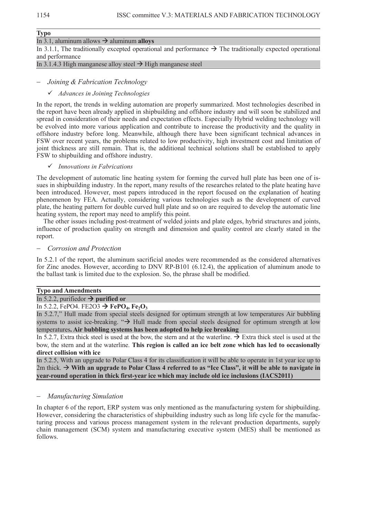### **Typo**  In 3.1, aluminum allows  $\rightarrow$  aluminum **alloys** In 3.1.1, The traditionally excepted operational and performance  $\rightarrow$  The traditionally expected operational and performance In 3.1.4.3 High manganese alloy steel  $\rightarrow$  High manganese steel

### *Joining & Fabrication Technology*

### 9 *Advances in Joining Technologies*

In the report, the trends in welding automation are properly summarized. Most technologies described in the report have been already applied in shipbuilding and offshore industry and will soon be stabilized and spread in consideration of their needs and expectation effects. Especially Hybrid welding technology will be evolved into more various application and contribute to increase the productivity and the quality in offshore industry before long. Meanwhile, although there have been significant technical advances in FSW over recent years, the problems related to low productivity, high investment cost and limitation of joint thickness are still remain. That is, the additional technical solutions shall be established to apply FSW to shipbuilding and offshore industry.

### 9 *Innovations in Fabrications*

The development of automatic line heating system for forming the curved hull plate has been one of issues in shipbuilding industry. In the report, many results of the researches related to the plate heating have been introduced. However, most papers introduced in the report focused on the explanation of heating phenomenon by FEA. Actually, considering various technologies such as the development of curved plate, the heating pattern for double curved hull plate and so on are required to develop the automatic line heating system, the report may need to amplify this point.

The other issues including post-treatment of welded joints and plate edges, hybrid structures and joints, influence of production quality on strength and dimension and quality control are clearly stated in the report.

#### *Corrosion and Protection*

In 5.2.1 of the report, the aluminum sacrificial anodes were recommended as the considered alternatives for Zinc anodes. However, according to DNV RP-B101 (6.12.4), the application of aluminum anode to the ballast tank is limited due to the explosion. So, the phrase shall be modified.

### **Typo and Amendments**

### In 5.2.2, purifiedor  $\rightarrow$  **purified or**

#### In 5.2.2, FePO4. FE2O3  $\rightarrow$  **FePO<sub>4</sub>, Fe<sub>2</sub>O<sub>3</sub>**

In 5.2.7," Hull made from special steels designed for optimum strength at low temperatures Air bubbling systems to assist ice-breaking. " $\rightarrow$  Hull made from special steels designed for optimum strength at low temperatures**. Air bubbling systems has been adopted to help ice breaking** 

In 5.2.7, Extra thick steel is used at the bow, the stern and at the waterline.  $\rightarrow$  Extra thick steel is used at the bow, the stern and at the waterline. **This region is called an ice belt zone which has led to occasionally direct collision with ice** 

In 5.2.5, With an upgrade to Polar Class 4 for its classification it will be able to operate in 1st year ice up to 2m thick.  $\rightarrow$  With an upgrade to Polar Class 4 referred to as "Ice Class", it will be able to navigate in **year-round operation in thick first-year ice which may include old ice inclusions (IACS2011)** 

### *Manufacturing Simulation*

In chapter 6 of the report, ERP system was only mentioned as the manufacturing system for shipbuilding. However, considering the characteristics of shipbuilding industry such as long life cycle for the manufacturing process and various process management system in the relevant production departments, supply chain management (SCM) system and manufacturing executive system (MES) shall be mentioned as follows.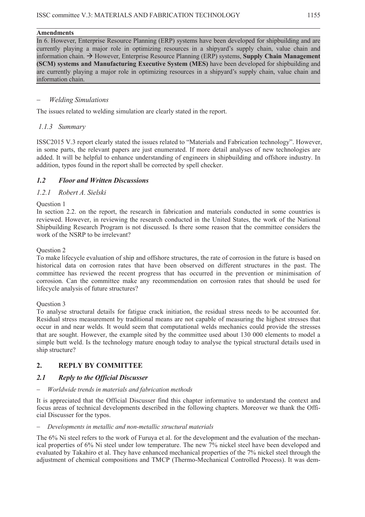### **Amendments**

In 6. However, Enterprise Resource Planning (ERP) systems have been developed for shipbuilding and are currently playing a major role in optimizing resources in a shipyard's supply chain, value chain and information chain.  $\rightarrow$  However, Enterprise Resource Planning (ERP) systems, **Supply Chain Management (SCM) systems and Manufacturing Executive System (MES)** have been developed for shipbuilding and are currently playing a major role in optimizing resources in a shipyard's supply chain, value chain and information chain.

### *Welding Simulations*

The issues related to welding simulation are clearly stated in the report.

### *1.1.3 Summary*

ISSC2015 V.3 report clearly stated the issues related to "Materials and Fabrication technology". However, in some parts, the relevant papers are just enumerated. If more detail analyses of new technologies are added. It will be helpful to enhance understanding of engineers in shipbuilding and offshore industry. In addition, typos found in the report shall be corrected by spell checker.

### *1.2 Floor and Written Discussions*

### *1.2.1 Robert A. Sielski*

### Question 1

In section 2.2. on the report, the research in fabrication and materials conducted in some countries is reviewed. However, in reviewing the research conducted in the United States, the work of the National Shipbuilding Research Program is not discussed. Is there some reason that the committee considers the work of the NSRP to be irrelevant?

### Question 2

To make lifecycle evaluation of ship and offshore structures, the rate of corrosion in the future is based on historical data on corrosion rates that have been observed on different structures in the past. The committee has reviewed the recent progress that has occurred in the prevention or minimisation of corrosion. Can the committee make any recommendation on corrosion rates that should be used for lifecycle analysis of future structures?

### Question 3

To analyse structural details for fatigue crack initiation, the residual stress needs to be accounted for. Residual stress measurement by traditional means are not capable of measuring the highest stresses that occur in and near welds. It would seem that computational welds mechanics could provide the stresses that are sought. However, the example sited by the committee used about 130 000 elements to model a simple butt weld. Is the technology mature enough today to analyse the typical structural details used in ship structure?

### **2. REPLY BY COMMITTEE**

### *2.1 Reply to the Official Discusser*

### *Worldwide trends in materials and fabrication methods*

It is appreciated that the Official Discusser find this chapter informative to understand the context and focus areas of technical developments described in the following chapters. Moreover we thank the Official Discusser for the typos.

### *Developments in metallic and non-metallic structural materials*

The 6% Ni steel refers to the work of Furuya et al. for the development and the evaluation of the mechanical properties of 6% Ni steel under low temperature. The new 7% nickel steel have been developed and evaluated by Takahiro et al. They have enhanced mechanical properties of the 7% nickel steel through the adjustment of chemical compositions and TMCP (Thermo-Mechanical Controlled Process). It was dem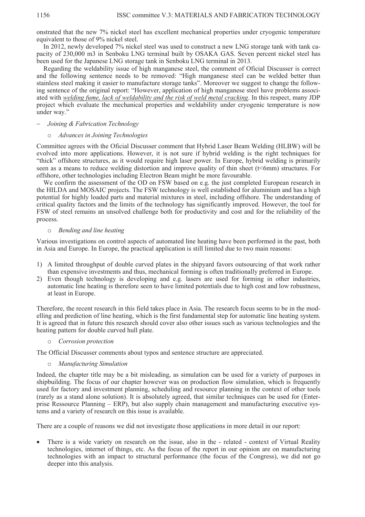onstrated that the new 7% nickel steel has excellent mechanical properties under cryogenic temperature equivalent to those of 9% nickel steel.

In 2012, newly developed 7% nickel steel was used to construct a new LNG storage tank with tank capacity of 230,000 m3 in Senboku LNG terminal built by OSAKA GAS. Seven percent nickel steel has been used for the Japanese LNG storage tank in Senboku LNG terminal in 2013.

Regarding the weldability issue of high manganese steel, the comment of Oficial Discusser is correct and the following sentence needs to be removed: "High manganese steel can be welded better than stainless steel making it easier to manufacture storage tanks". Moreover we suggest to change the following sentence of the original report: "However, application of high manganese steel have problems associated with *welding fume, lack of weldability and the risk of weld metal cracking*. In this respect, many JDP project which evaluate the mechanical properties and weldability under cryogenic temperature is now under way."

### *Joining & Fabrication Technology*

### o *Advances in Joining Technologies*

Committee agrees with the Oficial Discusser comment that Hybrid Laser Beam Welding (HLBW) will be evolved into more applications. However, it is not sure if hybrid welding is the right techniques for "thick" offshore structures, as it would require high laser power. In Europe, hybrid welding is primarily seen as a means to reduce welding distortion and improve quality of thin sheet (t<6mm) structures. For offshore, other technologies including Electron Beam might be more favourable.

We confirm the assessment of the OD on FSW based on e.g. the just completed European research in the HILDA and MOSAIC projects. The FSW technology is well established for aluminium and has a high potential for highly loaded parts and material mixtures in steel, including offshore. The understanding of critical quality factors and the limits of the technology has significantly improved. However, the tool for FSW of steel remains an unsolved challenge both for productivity and cost and for the reliability of the process.

### o *Bending and line heating*

Various investigations on control aspects of automated line heating have been performed in the past, both in Asia and Europe. In Europe, the practical application is still limited due to two main reasons:

- 1) A limited throughput of double curved plates in the shipyard favors outsourcing of that work rather than expensive investments and thus, mechanical forming is often traditionally preferred in Europe.
- 2) Even though technology is developing and e.g. lasers are used for forming in other industries, automatic line heating is therefore seen to have limited potentials due to high cost and low robustness, at least in Europe.

Therefore, the recent research in this field takes place in Asia. The research focus seems to be in the modelling and prediction of line heating, which is the first fundamental step for automatic line heating system. It is agreed that in future this research should cover also other issues such as various technologies and the heating pattern for double curved hull plate.

o *Corrosion protection* 

The Official Discusser comments about typos and sentence structure are appreciated.

### o *Manufacturing Simulation*

Indeed, the chapter title may be a bit misleading, as simulation can be used for a variety of purposes in shipbuilding. The focus of our chapter however was on production flow simulation, which is frequently used for factory and investment planning, scheduling and resource planning in the context of other tools (rarely as a stand alone solution). It is absolutely agreed, that similar techniques can be used for (Enterprise Ressource Planning – ERP), but also supply chain management and manufacturing executive systems and a variety of research on this issue is available.

There are a couple of reasons we did not investigate those applications in more detail in our report:

• There is a wide variety on research on the issue, also in the - related - context of Virtual Reality technologies, internet of things, etc. As the focus of the report in our opinion are on manufacturing technologies with an impact to structural performance (the focus of the Congress), we did not go deeper into this analysis.